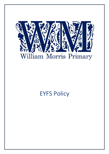

# EYFS Policy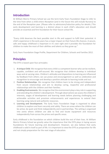#### **Introduction**

At William Morris Primary School we use the term Early Years Foundation Stage to refer to the time from when a child enters Reception (and in the future this will include Nursery) to the end of the Reception year. (Please refer to admissions/induction policy for details.) This early development and learning is a distinct phase in each child's education and should provide an essential and firm foundation for their future school life.

"Every child deserves the best possible start in life and support to fulfil their potential. A child's experience in the early years has a major impact on their future life chances. A secure, safe and happy childhood is important in it's own right and it provides the foundation for children to make the most of their abilities and talents as they grow up."

Early Years Foundation Stage Profile, Department for Children, Schools and Families 2012.

## **Principles**

The EYFS is based upon four principles:

- 1. **A Unique Child**. We recognise that every child is a competent learner who can be resilient, capable, confident and self-assured. We recognise that children develop in individual ways and at varying rates. Children's attitudes and dispositions to learning are influenced by feedback from others; we use praise and encouragement as well as celebration and recognition to encourage and develop a positive attitude to learning inside and out.
- 2. **Positive Relationships**. We recognise that children learn to be strong and independent from secure relationships and aim to develop caring, respectful and professional relationships with the children and their families.
- 3. **Enabling Environments**. We recognise that the environment plays a key role in supporting and extending the children's development. Through observations we assess the children's interests, stages of development and learning needs before planning challenging and achievable activities and provision enhancements and experiences to extend their learning using natural and authentic resources.
- 4. **Learning and Development**. The Early Years Foundation Stage is organised to allow children to explore and learn securely and safely. There are areas where the children can be active, be quiet and think independently and in partnerships. The setting is organised into zones where children are able to find and locate equipment and resources independently from across the prime and specific areas.

Early childhood is the foundation on which children build the rest of their lives. At William Morris Primary School we greatly value the importance that the EYFS plays in laying secure foundations for future learning and development. However, we also believe that early childhood is valid in itself as part of life. It is important to view the EYFS as preparation for life and not simply preparation for the next stage of education.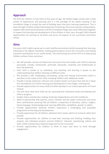#### **Approach**

The EYFS for children is from birth to five years of age. All children begin school with a wide variety of experiences and learning and it is the privilege of the adults working in the Foundation Stage to accept the task of building upon that prior learning experience. This is done through a holistic project based approach to learning. We ensure parents and guardians, support staff, external practitioners and the Foundation Stage team work effectively together to support the learning and development of the children in their care, through Child Initiated opportunities for learning at all levels and across all aspects of our curriculum and forest school.

#### **Aims**

It is every child's right to grow up in a safe, healthy environment whilst enjoying their learning, achieving at the highest standards, making good progress across the curriculum and making a positive contribution to our school family. The overarching aim of the EYFS is to help young children achieve these outcomes.

- We will provide a broad and balanced curriculum that will enable each child to develop personally, socially, emotionally, spiritually, physically, creatively and intellectually to their full potential.
- Each child is valued as an individual, and teaching and learning is based on the understanding that children develop at different rates.
- We provide a safe, challenging, stimulating, caring and sharing environment which is sensitive to the needs of the child, including children with additional needs.
- Provide a broad, balanced, relevant and creative based curriculum that will set in place firm foundations for further learning and development in Key Stage 1 and beyond.
- Provide opportunities for every child to further develop in our school specialism of Forest **Schools**
- Use and value what each child can do, assessing their individual needs and helping each child to progress.
- Enable choice and decision making, fostering independence and self-confidence.
- Work in partnership with parents, carers, families and the wider community and value their contributions ensuring that all children, irrespective of ethnicity, culture, religion, home language, family background, learning difficulties, disabilities, gender or ability.
- Provide opportunities whereby children experience a challenging and enjoyable programme of learning and development.
- Provide experiences for all children, whatever their needs, which are inclusive rather than parallel.
- Provide opportunities for children to lead their learning and thinking, building class projects and individual projects around children's interests, questioning, talents and skills, whilst maintaining a balanced approach to the curriculum.
- Provide opportunities for children to think to learn and learn to think through engagement.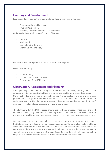#### **Learning and Development**

Learning and development is categorised into three prime areas of learning:

- Communication and language.
- Physical Development.
- Personal, Social and Emotional Development.

Additionally there are four specific areas of learning:

- Literacy
- Mathematics
- Understanding the world
- Expressive Arts and Design

Achievement of these prime and specific areas of learning is by:

Playing and exploring

- Active learning
- Focused support and challenge
- Creative and Critical Thinking

#### **Observation, Assessment and Planning**

Good planning is the key to making children's learning effective, exciting, varied and progressive. Effective learning builds on and extends what children know and can already do. Our objective led and weekly planning shows how the principles of the EYFS are put into practice and is always informed by observations we have made of the children, in order to understand and consider their current interests, development and learning needs. All staff who work in the Foundation Stage are involved in this process.

The planning within the EYFS is based around the children's interests. These plans are used by the EYFS team as a guide for weekly planning. However, we may alter these in response to the needs of the children and their interests as our projects and learning progress over time.

We make regular assessments of children's learning and we use this information to ensure that future planning reflects identified needs. Assessment in the EYFS takes the form of long, short and recorded observations and this involves the teacher and other adults as appropriate. These observations are recorded and used to inform the Senior Leadership Team. Parents and Carers are given the opportunity to meet formally with the Foundation Stage teacher twice a year and receive a formal report at the end of the year.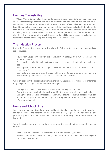## **Learning Through Play**

At William Morris Community School, we do not make a distinction between work and play. Children learn through planned and child led play activities and staff will decide when childinitiated or objective led activities would provide the most effective learning opportunities. In addition we always have one of our members of staff working as a play facilitator alongside children's play to move thinking and learning to the next level through questions, role modelling and/or partnership learning. We also come together at least four times a day for class based or group learning which focuses on key skills and knowledge including the teaching of Phonics for Reading and Writing and Mathematical Skills.

## **The Induction Process**

During the Summer Term prior to starting school the following September our induction visits are conducted:

- Foundation Stage staff will visit pre-school/Nursery settings from which September's intake will be taken.
- Parents will be invited to an induction evening and receive our handbooks and welcome pack.
- Where possible, the Foundation Stage staff will visit each child in their home environment during term 6.
- Each child and their parents and carers will be invited to spend some time at William Morris Primary School for a "Stay and Play" session prior to entry.

When children join the school in September, the following procedures will apply in order that they can gradually adjust to their new surroundings:

- During the first week, children will attend for the morning session only.
- During the second week, children will attend for the morning session and lunch only.
- During the third week and thereafter, children will attend for the full school day unless Foundation Stage staff and parents or guardians agree that it is not in the best interests of the individual child.

## **Home and School Links**

We recognise that parents and carers are a child's first and most enduring educators and we aim for the school and parents and carers to work closely together. This can have a very positive impact on a child's development but relies on a two-way flow of information and knowledge.

We will develop this working relationship between the school and parents and carers as follows:

- We will outline the school's expectations in our home school agreement.
- We will hold a parent consultation early in the year to establish how a child is settling into the school environment.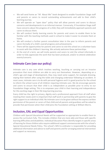- We will send home an "All About Me" book designed to enable Foundation Stage staff and parents or carers to record outstanding achievements and add to their child's learning journey.
- We will operate an "open door" policy that will allow parents and carers to discuss concerns and developments in an informal manner. Conversely, if Foundation Stage staff have concerns about the progress of a child, they will immediately approach parents and carers to discuss them.
- We will conduct family learning events for parents and carers to enable them to be familiar with the teaching methods used in school to make it easier to emulate them at home.
- We will conduct a further parent consultation later in the year to inform parents and carers formally of a child's overall progress and achievements.
- There will be opportunities for parents and carers to visit the school on a volunteer basis to assist with the children's learning. We actively welcome these partnerships.
- At the end of a term, we will invite parents and carers to visit the school informally in order to fully appreciate the work that has been produced, and/or to attend celebration events/concerts.

## **Intimate Care (see our policy)**

Intimate care is any care which involves washing, touching or carrying out an invasive procedure that most children are able to carry out themselves. However, depending on a child's age and stage of development, they may need some support, for example dressing, wiping their bottom after using the toilet and changing underwear following an accident. In most cases, intimate care is to do with personal hygiene and it is good practice for the school to inform the school nurse of all children requiring intimate care. We do encourage parents and carers to ensure that their child is as independent as possible prior to entry to our Foundation Stage setting. This is to empower your child in their learning and independence for this exciting stage in their life long learning journey.

Every child has the right to privacy, dignity and a professional approach from all staff when meeting their needs and it is important that staff work in partnership with parents to give the right support to an individual child. No intimate care is to be given without the express written permission of the parent or carers of that child and all parents and guardians will be asked to provide that permission when their child joins the Foundation setting at William Morris.

## **Inclusion, EAL and Equal Opportunities**

Children with Special Educational Needs will be supported as appropriate to enable them to access the curriculum fully. This includes children that are more able and those with specific learning difficulties and disabilities. Individual Education Plans identify targets in specific areas of learning for those children who require additional support commensurate with the school's Special Educational Needs Policy. The school's SEN Co-ordinator is responsible for providing additional information and advice to staff and parents and for arranging external intervention and support as necessary.